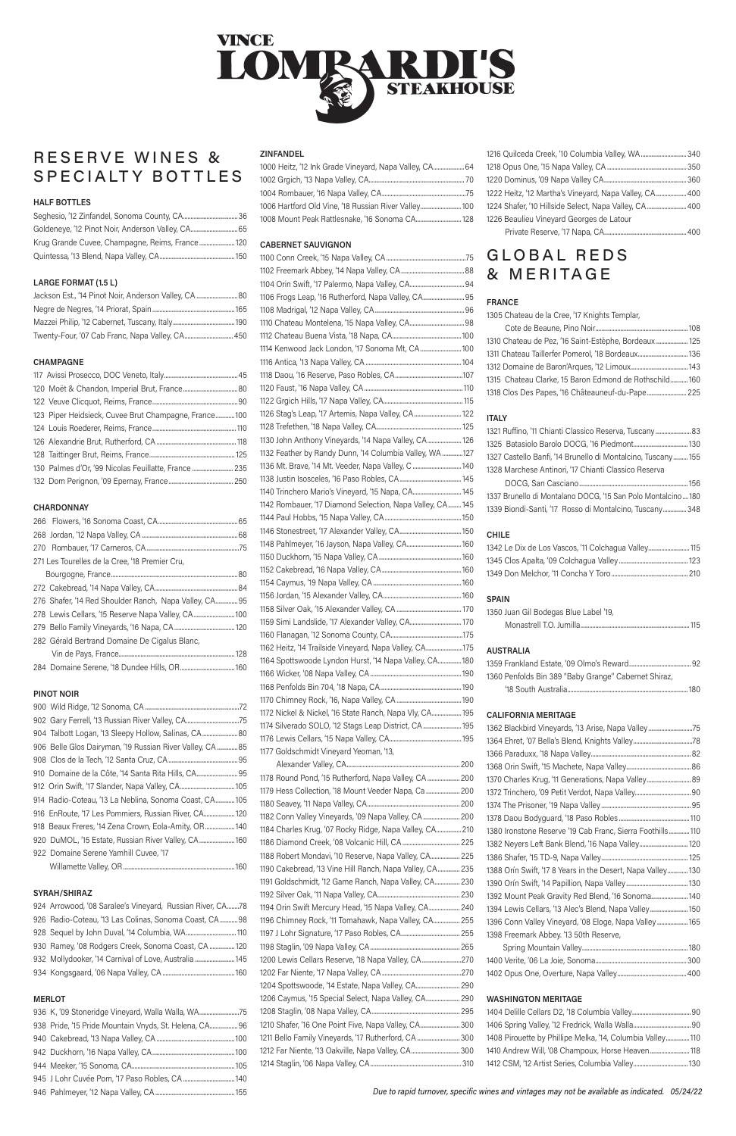# MINGE LOMRAI RDI'S **STEAKHOUSE**

# RESERVE WINES & SPECIALTY BOTTLES

#### HALF BOTTLES

| Goldeneye, '12 Pinot Noir, Anderson Valley, CA 65 |  |
|---------------------------------------------------|--|
| Krug Grande Cuvee, Champagne, Reims, France 120   |  |
|                                                   |  |

#### LARGE FORMAT (1.5 L)

| Jackson Est., '14 Pinot Noir, Anderson Valley, CA  80 |  |
|-------------------------------------------------------|--|
|                                                       |  |
|                                                       |  |
| Twenty-Four, '07 Cab Franc, Napa Valley, CA 450       |  |

#### CHAMPAGNE

| 123 Piper Heidsieck, Cuvee Brut Champagne, France 100 |
|-------------------------------------------------------|
|                                                       |
|                                                       |
|                                                       |
| 130 Palmes d'Or, '99 Nicolas Feuillatte, France       |
|                                                       |

#### **CHARDONNAY**

| 271 Les Tourelles de la Cree, '18 Premier Cru,        |
|-------------------------------------------------------|
|                                                       |
|                                                       |
| 276 Shafer, '14 Red Shoulder Ranch, Napa Valley, CA95 |
| 278 Lewis Cellars, '15 Reserve Napa Valley, CA        |
|                                                       |
| 282 Gérald Bertrand Domaine De Cigalus Blanc,         |
|                                                       |
|                                                       |

#### PINOT NOIR

| 902 Gary Ferrell, '13 Russian River Valley, CA75          |
|-----------------------------------------------------------|
| 904 Talbott Logan, '13 Sleepy Hollow, Salinas, CA 80      |
| 906 Belle Glos Dairyman, '19 Russian River Valley, CA  85 |
|                                                           |
|                                                           |
|                                                           |
| 914 Radio-Coteau, '13 La Neblina, Sonoma Coast, CA105     |
| 916 EnRoute, '17 Les Pommiers, Russian River, CA 120      |
| 918 Beaux Freres, '14 Zena Crown, Eola-Amity, OR  140     |

920 DuMOL, '15 Estate, Russian River Valley, CA........................160 922 Domaine Serene Yamhill Cuvee, '17

Willamette Valley, OR............................................................................160

#### SYRAH/SHIRAZ

924 Arrowood, '08 Saralee's Vineyard, Russian River, CA........78 926 Radio-Coteau, '13 Las Colinas, Sonoma Coast, CA............98 928 Sequel by John Duval, '14 Columbia, WA...................................110 930 Ramey, '08 Rodgers Creek, Sonoma Coast, CA .................120 932 Mollydooker, '14 Carnival of Love, Australia .......................... 145 934 Kongsgaard, '06 Napa Valley, CA .................................................160

#### MERLOT

| 936 K, '09 Stoneridge Vineyard, Walla Walla, WA75      |  |
|--------------------------------------------------------|--|
| 938 Pride, '15 Pride Mountain Vnyds, St. Helena, CA 96 |  |
|                                                        |  |
|                                                        |  |
|                                                        |  |
|                                                        |  |
|                                                        |  |

#### ZINFANDEL

| 1000 Heitz, '12 Ink Grade Vineyard, Napa Valley, CA 64 |
|--------------------------------------------------------|
|                                                        |
|                                                        |
| 1006 Hartford Old Vine, '18 Russian River Valley 100   |
| 1008 Mount Peak Rattlesnake, '16 Sonoma CA 128         |

#### CABERNET SAUVIGNON

| 1178 Round Pond, '15 Rutherford, Napa Valley, CA  200   |  |
|---------------------------------------------------------|--|
| 1179 Hess Collection, '18 Mount Veeder Napa, Ca  200    |  |
|                                                         |  |
| 1182 Conn Valley Vineyards, '09 Napa Valley, CA 200     |  |
| 1184 Charles Krug, '07 Rocky Ridge, Napa Valley, CA 210 |  |

1186 Diamond Creek, '08 Volcanic Hill, CA....................................... 225 1188 Robert Mondavi, '10 Reserve, Napa Valley, CA.................... 225 1190 Cakebread, '13 Vine Hill Ranch, Napa Valley, CA............... 235 1191 Goldschmidt, '12 Game Ranch, Napa Valley, CA................. 230 1192 Silver Oak, '11 Napa Valley, CA........................................................ 230 1194 Orin Swift Mercury Head, '15 Napa Valley, CA..................... 240 1196 Chimney Rock, '11 Tomahawk, Napa Valley, CA.................. 255 1197 J Lohr Signature, '17 Paso Robles, CA........................................ 255 1198 Staglin, '09 Napa Valley, CA............................................................. 265 1200 Lewis Cellars Reserve, '18 Napa Valley, CA...........................270 1202 Far Niente, '17 Napa Valley, CA......................................................270 1204 Spottswoode, '14 Estate, Napa Valley, CA.............................. 290 1206 Caymus, '15 Special Select, Napa Valley, CA....................... 290 1208 Staglin, '08 Napa Valley, CA............................................................ 295 1210 Shafer, '16 One Point Five, Napa Valley, CA...........................300 1211 Bello Family Vineyards, '17 Rutherford, CA .............................300 1212 Far Niente, '13 Oakville, Napa Valley, CA.................................300 1214 Staglin, '06 Napa Valley, CA..............................................................310

| 1216 Quilceda Creek, '10 Columbia Valley, WA  340      |
|--------------------------------------------------------|
|                                                        |
|                                                        |
| 1222 Heitz, '12 Martha's Vineyard, Napa Valley, CA 400 |
| 1224 Shafer, '10 Hillside Select, Napa Valley, CA 400  |
| 1226 Beaulieu Vineyard Georges de Latour               |
|                                                        |

# GLOBAL REDS & MERITAGE

### FRANCE

1305 Chateau de la Cree, '17 Knights Templar,

| 1310 Chateau de Pez, '16 Saint-Estèphe, Bordeaux 125   |  |
|--------------------------------------------------------|--|
| 1311 Chateau Taillerfer Pomerol, '18 Bordeaux 136      |  |
|                                                        |  |
| 1315 Chateau Clarke, 15 Baron Edmond de Rothschild 160 |  |
| 1318 Clos Des Papes, '16 Châteauneuf-du-Pape 225       |  |

### ITALY

| 1321 Ruffino, '11 Chianti Classico Reserva, Tuscany  83      |  |
|--------------------------------------------------------------|--|
|                                                              |  |
| 1327 Castello Banfi, '14 Brunello di Montalcino, Tuscany 155 |  |
| 1328 Marchese Antinori, '17 Chianti Classico Reserva         |  |
| $R^2 \cap R^2 \cap R^2 \cap R^2$                             |  |

 DOCG, San Casciano..........................................................................156 1337 Brunello di Montalano DOCG, '15 San Polo Montalcino....180 1339 Biondi-Santi, '17 Rosso di Montalcino, Tuscany................348

### CHILE

| 1342 Le Dix de Los Vascos, '11 Colchagua Valley 115 |  |
|-----------------------------------------------------|--|
|                                                     |  |
|                                                     |  |

#### SPAIN

| 1350 Juan Gil Bodegas Blue Label '19, |  |
|---------------------------------------|--|
|                                       |  |

#### AUSTRALIA

| 1360 Penfolds Bin 389 "Baby Grange" Cabernet Shiraz, |  |
|------------------------------------------------------|--|
|                                                      |  |

#### CALIFORNIA MERITAGE

| 1362 Blackbird Vineyards, '13 Arise, Napa Valley75          |
|-------------------------------------------------------------|
|                                                             |
|                                                             |
|                                                             |
| 1370 Charles Krug, '11 Generations, Napa Valley 89          |
|                                                             |
|                                                             |
|                                                             |
| 1380 Ironstone Reserve '19 Cab Franc, Sierra Foothills 110  |
| 1382 Neyers Left Bank Blend, '16 Napa Valley 120            |
|                                                             |
| 1388 Orín Swift, '17 8 Years in the Desert, Napa Valley 130 |
|                                                             |
| 1392 Mount Peak Gravity Red Blend, '16 Sonoma 140           |
| 1394 Lewis Cellars, '13 Alec's Blend, Napa Valley 150       |
| 1396 Conn Valley Vineyard, '08 Eloge, Napa Valley 165       |
| 1398 Freemark Abbey. '13 50th Reserve,                      |
|                                                             |
|                                                             |
|                                                             |
|                                                             |

#### WASHINGTON MERITAGE

| 1408 Pirouette by Phillipe Melka, '14, Columbia Valley 110 |  |
|------------------------------------------------------------|--|
| 1410 Andrew Will, '08 Champoux, Horse Heaven 118           |  |
|                                                            |  |

Due to rapid turnover, specific wines and vintages may not be available as indicated. 05/24/22